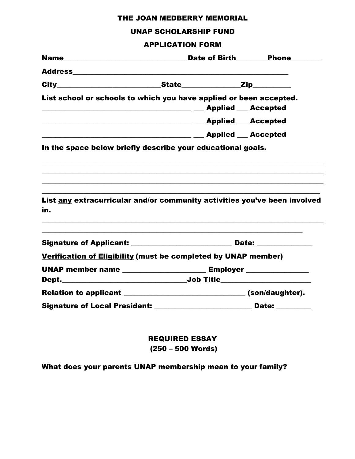# THE JOAN MEDBERRY MEMORIAL

#### UNAP SCHOLARSHIP FUND

# APPLICATION FORM

| List school or schools to which you have applied or been accepted.               |  |  |
|----------------------------------------------------------------------------------|--|--|
|                                                                                  |  |  |
|                                                                                  |  |  |
|                                                                                  |  |  |
| In the space below briefly describe your educational goals.                      |  |  |
| List any extracurricular and/or community activities you've been involved<br>in. |  |  |
| Signature of Applicant: __________________________________ Date: _______________ |  |  |
| Verification of Eligibility (must be completed by UNAP member)                   |  |  |
| UNAP member name ___________________________ Employer _______________            |  |  |
|                                                                                  |  |  |
| Relation to applicant ___________________________________(son/daughter).         |  |  |
| Signature of Local President: ___________________________ Date: ________         |  |  |

REQUIRED ESSAY (250 – 500 Words)

# What does your parents UNAP membership mean to your family?